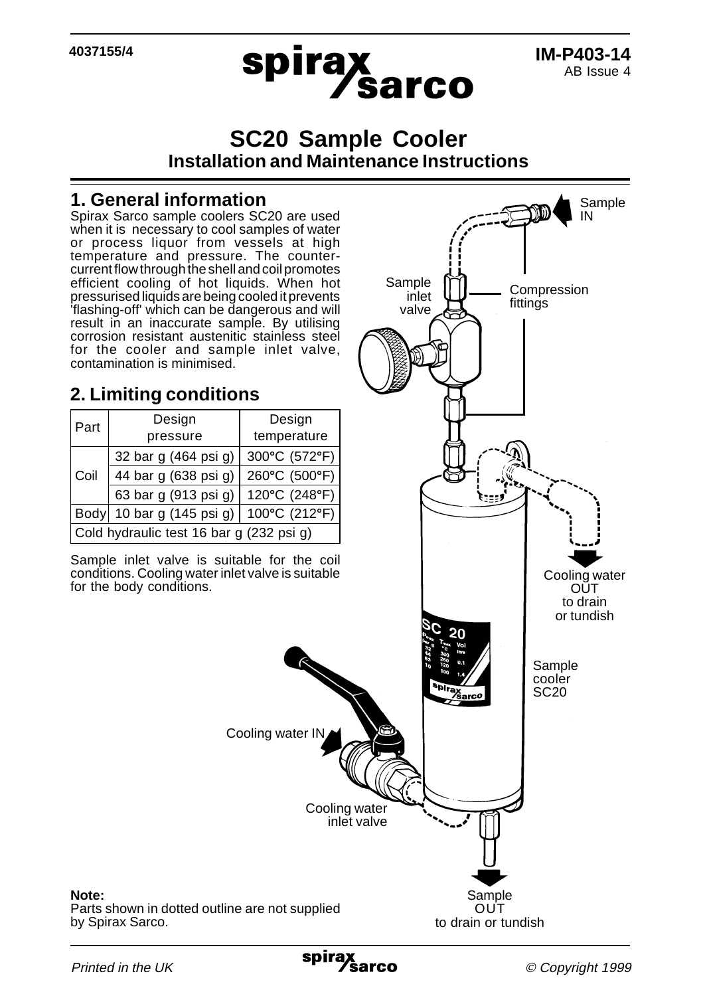**4037155/4**



# **SC20 Sample Cooler Installation and Maintenance Instructions**

#### **1. General information**

Spirax Sarco sample coolers SC20 are used when it is necessary to cool samples of water or process liquor from vessels at high temperature and pressure. The countercurrent flow through the shell and coil promotes efficient cooling of hot liquids. When hot pressurised liquids are being cooled it prevents 'flashing-off' which can be dangerous and will result in an inaccurate sample. By utilising corrosion resistant austenitic stainless steel for the cooler and sample inlet valve, contamination is minimised.

# **2. Limiting conditions**

| Part                                     | Design                              | Design        |
|------------------------------------------|-------------------------------------|---------------|
|                                          | pressure                            | temperature   |
| Coil                                     | 32 bar g (464 psi g)                | 300°C (572°F) |
|                                          | 44 bar g (638 psi g)                | 260°C (500°F) |
|                                          | 63 bar g (913 psi g)                | 120°C (248°F) |
|                                          | Body 10 bar g $(145 \text{ psi g})$ | 100°C (212°F) |
| Cold hydraulic test 16 bar g (232 psi g) |                                     |               |

Sample inlet valve is suitable for the coil conditions. Cooling water inlet valve is suitable for the body conditions.



**Printed in the UK** 

by Spirax Sarco.

**Note:**